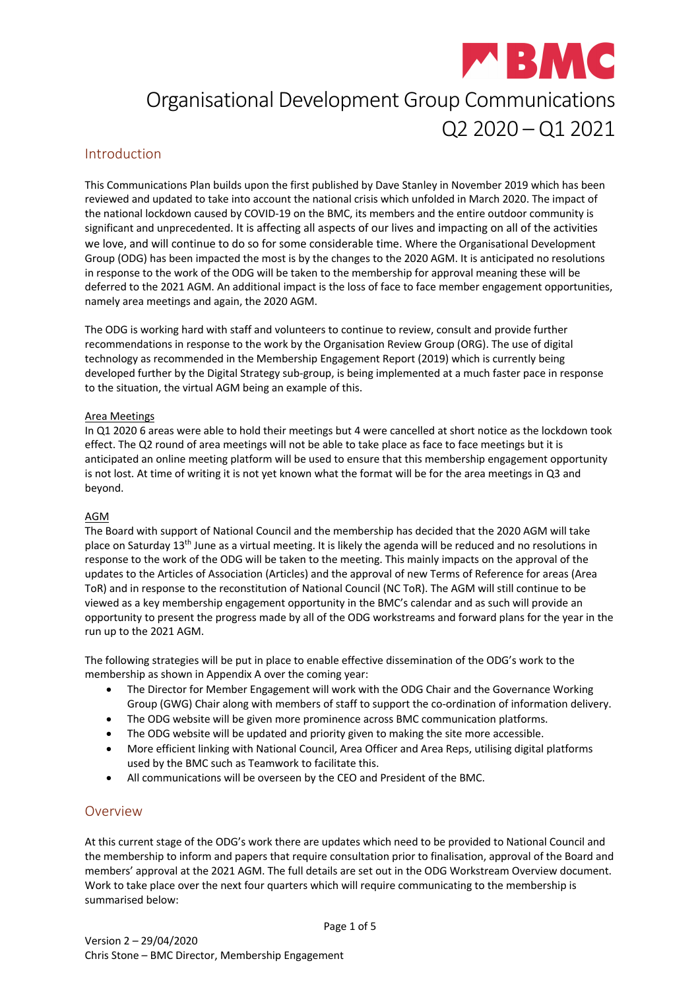

# Organisational Development Group Communications  $Q2 2020 - Q1 2021$

# Introduction

This Communications Plan builds upon the first published by Dave Stanley in November 2019 which has been reviewed and updated to take into account the national crisis which unfolded in March 2020. The impact of the national lockdown caused by COVID-19 on the BMC, its members and the entire outdoor community is significant and unprecedented. It is affecting all aspects of our lives and impacting on all of the activities we love, and will continue to do so for some considerable time. Where the Organisational Development Group (ODG) has been impacted the most is by the changes to the 2020 AGM. It is anticipated no resolutions in response to the work of the ODG will be taken to the membership for approval meaning these will be deferred to the 2021 AGM. An additional impact is the loss of face to face member engagement opportunities, namely area meetings and again, the 2020 AGM.

The ODG is working hard with staff and volunteers to continue to review, consult and provide further recommendations in response to the work by the Organisation Review Group (ORG). The use of digital technology as recommended in the Membership Engagement Report (2019) which is currently being developed further by the Digital Strategy sub-group, is being implemented at a much faster pace in response to the situation, the virtual AGM being an example of this.

#### Area Meetings

In Q1 2020 6 areas were able to hold their meetings but 4 were cancelled at short notice as the lockdown took effect. The Q2 round of area meetings will not be able to take place as face to face meetings but it is anticipated an online meeting platform will be used to ensure that this membership engagement opportunity is not lost. At time of writing it is not yet known what the format will be for the area meetings in Q3 and beyond.

#### AGM

The Board with support of National Council and the membership has decided that the 2020 AGM will take place on Saturday 13<sup>th</sup> June as a virtual meeting. It is likely the agenda will be reduced and no resolutions in response to the work of the ODG will be taken to the meeting. This mainly impacts on the approval of the updates to the Articles of Association (Articles) and the approval of new Terms of Reference for areas (Area ToR) and in response to the reconstitution of National Council (NC ToR). The AGM will still continue to be viewed as a key membership engagement opportunity in the BMC's calendar and as such will provide an opportunity to present the progress made by all of the ODG workstreams and forward plans for the year in the run up to the 2021 AGM.

The following strategies will be put in place to enable effective dissemination of the ODG's work to the membership as shown in Appendix A over the coming year:

- The Director for Member Engagement will work with the ODG Chair and the Governance Working Group (GWG) Chair along with members of staff to support the co-ordination of information delivery.
- The ODG website will be given more prominence across BMC communication platforms.
- The ODG website will be updated and priority given to making the site more accessible.
- More efficient linking with National Council, Area Officer and Area Reps, utilising digital platforms used by the BMC such as Teamwork to facilitate this.
- All communications will be overseen by the CEO and President of the BMC.

# Overview

At this current stage of the ODG's work there are updates which need to be provided to National Council and the membership to inform and papers that require consultation prior to finalisation, approval of the Board and members' approval at the 2021 AGM. The full details are set out in the ODG Workstream Overview document. Work to take place over the next four quarters which will require communicating to the membership is summarised below: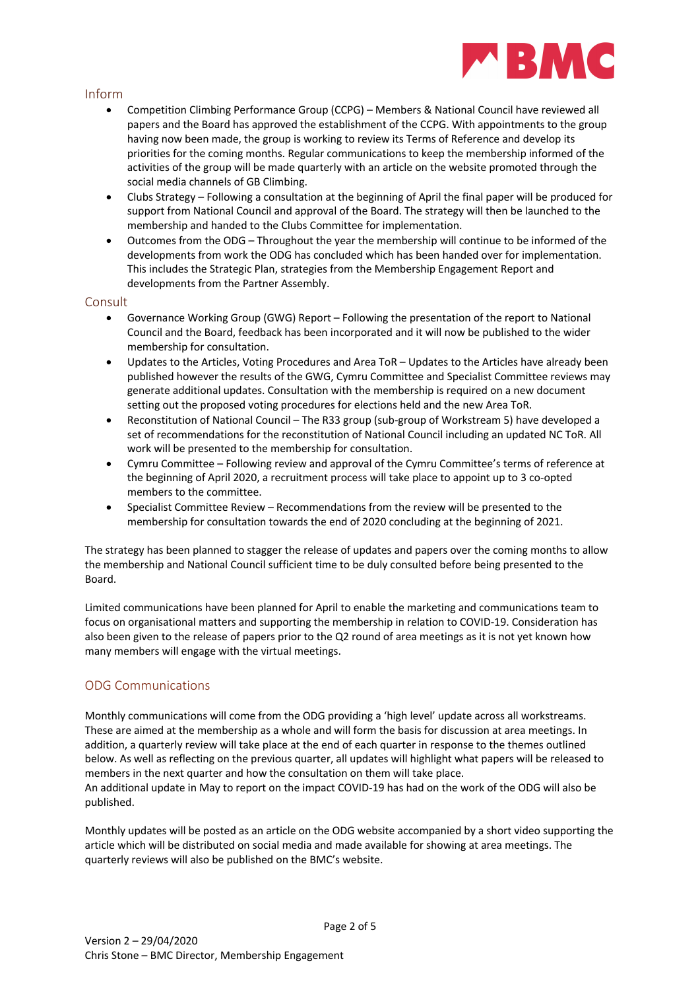

### Inform

- Competition Climbing Performance Group (CCPG) Members & National Council have reviewed all papers and the Board has approved the establishment of the CCPG. With appointments to the group having now been made, the group is working to review its Terms of Reference and develop its priorities for the coming months. Regular communications to keep the membership informed of the activities of the group will be made quarterly with an article on the website promoted through the social media channels of GB Climbing.
- Clubs Strategy Following a consultation at the beginning of April the final paper will be produced for support from National Council and approval of the Board. The strategy will then be launched to the membership and handed to the Clubs Committee for implementation.
- Outcomes from the ODG Throughout the year the membership will continue to be informed of the developments from work the ODG has concluded which has been handed over for implementation. This includes the Strategic Plan, strategies from the Membership Engagement Report and developments from the Partner Assembly.

#### **Consult**

- Governance Working Group (GWG) Report Following the presentation of the report to National Council and the Board, feedback has been incorporated and it will now be published to the wider membership for consultation.
- Updates to the Articles, Voting Procedures and Area ToR Updates to the Articles have already been published however the results of the GWG, Cymru Committee and Specialist Committee reviews may generate additional updates. Consultation with the membership is required on a new document setting out the proposed voting procedures for elections held and the new Area ToR.
- Reconstitution of National Council The R33 group (sub-group of Workstream 5) have developed a set of recommendations for the reconstitution of National Council including an updated NC ToR. All work will be presented to the membership for consultation.
- Cymru Committee Following review and approval of the Cymru Committee's terms of reference at the beginning of April 2020, a recruitment process will take place to appoint up to 3 co-opted members to the committee.
- Specialist Committee Review Recommendations from the review will be presented to the membership for consultation towards the end of 2020 concluding at the beginning of 2021.

The strategy has been planned to stagger the release of updates and papers over the coming months to allow the membership and National Council sufficient time to be duly consulted before being presented to the Board.

Limited communications have been planned for April to enable the marketing and communications team to focus on organisational matters and supporting the membership in relation to COVID-19. Consideration has also been given to the release of papers prior to the Q2 round of area meetings as it is not yet known how many members will engage with the virtual meetings.

# ODG Communications

Monthly communications will come from the ODG providing a 'high level' update across all workstreams. These are aimed at the membership as a whole and will form the basis for discussion at area meetings. In addition, a quarterly review will take place at the end of each quarter in response to the themes outlined below. As well as reflecting on the previous quarter, all updates will highlight what papers will be released to members in the next quarter and how the consultation on them will take place.

An additional update in May to report on the impact COVID-19 has had on the work of the ODG will also be published.

Monthly updates will be posted as an article on the ODG website accompanied by a short video supporting the article which will be distributed on social media and made available for showing at area meetings. The quarterly reviews will also be published on the BMC's website.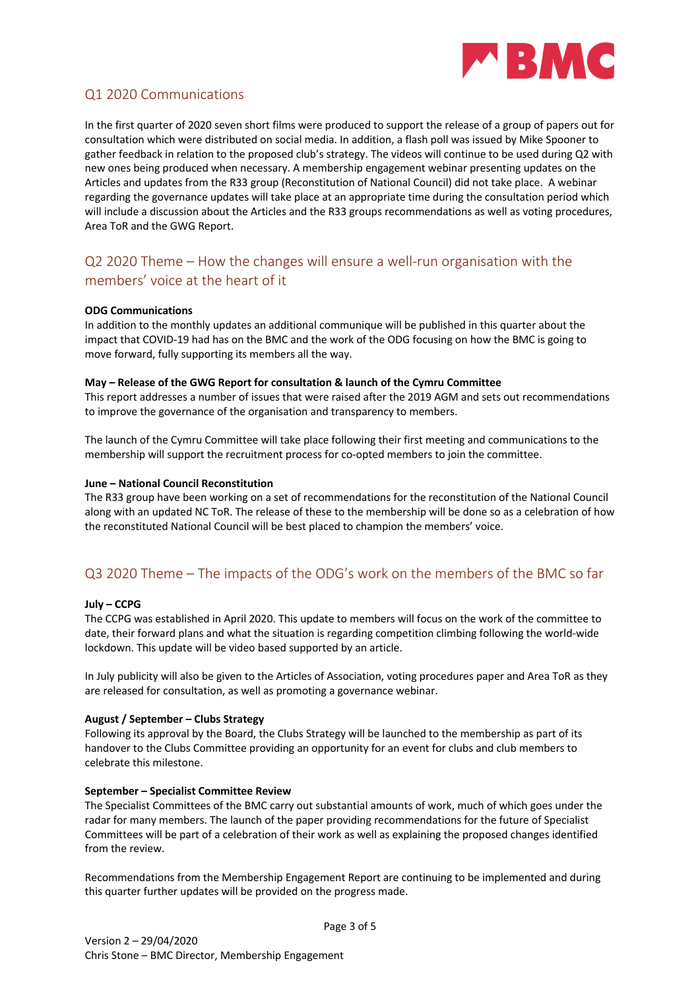

# Q1 2020 Communications

In the first quarter of 2020 seven short films were produced to support the release of a group of papers out for consultation which were distributed on social media. In addition, a flash poll was issued by Mike Spooner to gather feedback in relation to the proposed club's strategy. The videos will continue to be used during Q2 with new ones being produced when necessary. A membership engagement webinar presenting updates on the Articles and updates from the R33 group (Reconstitution of National Council) did not take place. A webinar regarding the governance updates will take place at an appropriate time during the consultation period which will include a discussion about the Articles and the R33 groups recommendations as well as voting procedures, Area ToR and the GWG Report.

# Q2 2020 Theme – How the changes will ensure a well-run organisation with the members' voice at the heart of it

#### **ODG Communications**

In addition to the monthly updates an additional communique will be published in this quarter about the impact that COVID-19 had has on the BMC and the work of the ODG focusing on how the BMC is going to move forward, fully supporting its members all the way.

#### **May – Release of the GWG Report for consultation & launch of the Cymru Committee**

This report addresses a number of issues that were raised after the 2019 AGM and sets out recommendations to improve the governance of the organisation and transparency to members.

The launch of the Cymru Committee will take place following their first meeting and communications to the membership will support the recruitment process for co-opted members to join the committee.

#### **June – National Council Reconstitution**

The R33 group have been working on a set of recommendations for the reconstitution of the National Council along with an updated NC ToR. The release of these to the membership will be done so as a celebration of how the reconstituted National Council will be best placed to champion the members' voice.

# Q3 2020 Theme – The impacts of the ODG's work on the members of the BMC so far

#### **July – CCPG**

The CCPG was established in April 2020. This update to members will focus on the work of the committee to date, their forward plans and what the situation is regarding competition climbing following the world-wide lockdown. This update will be video based supported by an article.

In July publicity will also be given to the Articles of Association, voting procedures paper and Area ToR as they are released for consultation, as well as promoting a governance webinar.

#### **August / September – Clubs Strategy**

Following its approval by the Board, the Clubs Strategy will be launched to the membership as part of its handover to the Clubs Committee providing an opportunity for an event for clubs and club members to celebrate this milestone.

#### **September – Specialist Committee Review**

The Specialist Committees of the BMC carry out substantial amounts of work, much of which goes under the radar for many members. The launch of the paper providing recommendations for the future of Specialist Committees will be part of a celebration of their work as well as explaining the proposed changes identified from the review.

Recommendations from the Membership Engagement Report are continuing to be implemented and during this quarter further updates will be provided on the progress made.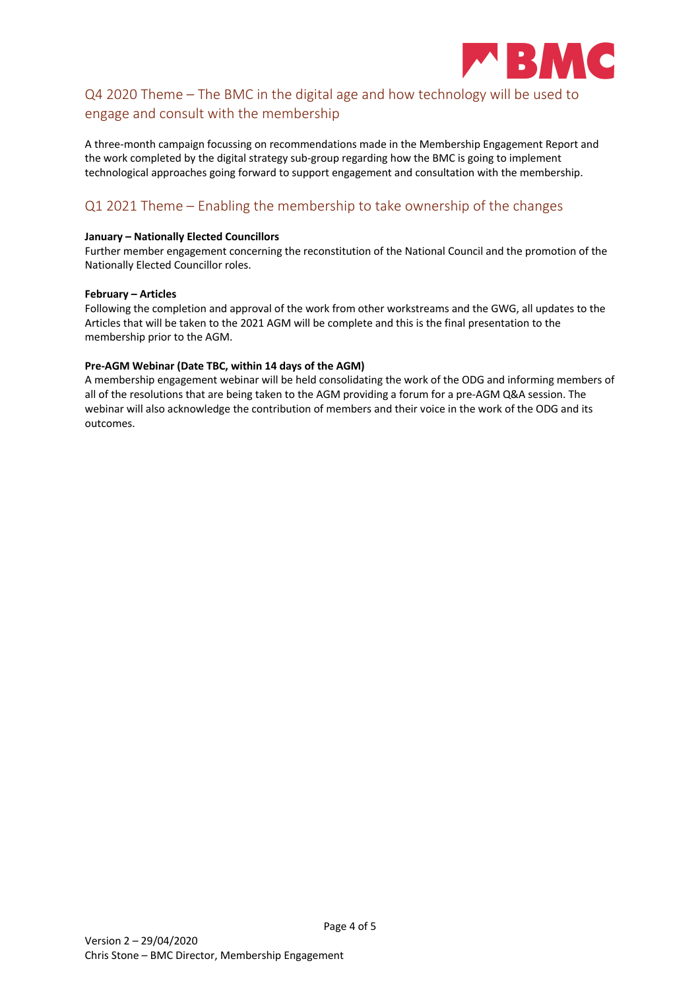

# Q4 2020 Theme – The BMC in the digital age and how technology will be used to engage and consult with the membership

A three-month campaign focussing on recommendations made in the Membership Engagement Report and the work completed by the digital strategy sub-group regarding how the BMC is going to implement technological approaches going forward to support engagement and consultation with the membership.

# Q1 2021 Theme – Enabling the membership to take ownership of the changes

#### **January – Nationally Elected Councillors**

Further member engagement concerning the reconstitution of the National Council and the promotion of the Nationally Elected Councillor roles.

#### **February – Articles**

Following the completion and approval of the work from other workstreams and the GWG, all updates to the Articles that will be taken to the 2021 AGM will be complete and this is the final presentation to the membership prior to the AGM.

#### **Pre-AGM Webinar (Date TBC, within 14 days of the AGM)**

A membership engagement webinar will be held consolidating the work of the ODG and informing members of all of the resolutions that are being taken to the AGM providing a forum for a pre-AGM Q&A session. The webinar will also acknowledge the contribution of members and their voice in the work of the ODG and its outcomes.